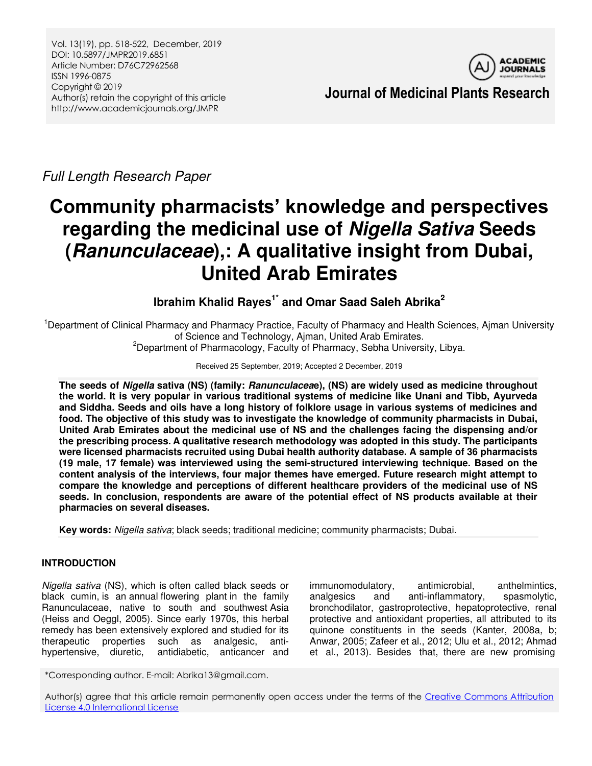Vol. 13(19), pp. 518-522, December, 2019 DOI: 10.5897/JMPR2019.6851 Article Number: D76C72962568 ISSN 1996-0875 Copyright © 2019 Author(s) retain the copyright of this article http://www.academicjournals.org/JMPR



**Journal of Medicinal Plants Research** 

*Full Length Research Paper* 

# **Community pharmacists' knowledge and perspectives regarding the medicinal use of** *Nigella Sativa* **Seeds (***Ranunculaceae***),: A qualitative insight from Dubai, United Arab Emirates**

**Ibrahim Khalid Rayes1\* and Omar Saad Saleh Abrika<sup>2</sup>**

<sup>1</sup>Department of Clinical Pharmacy and Pharmacy Practice, Faculty of Pharmacy and Health Sciences, Ajman University of Science and Technology, Ajman, United Arab Emirates.

<sup>2</sup>Department of Pharmacology, Faculty of Pharmacy, Sebha University, Libya.

## Received 25 September, 2019; Accepted 2 December, 2019

**The seeds of** *Nigella* **sativa (NS) (family:** *Ranunculacea***e), (NS) are widely used as medicine throughout the world. It is very popular in various traditional systems of medicine like Unani and Tibb, Ayurveda and Siddha. Seeds and oils have a long history of folklore usage in various systems of medicines and food. The objective of this study was to investigate the knowledge of community pharmacists in Dubai, United Arab Emirates about the medicinal use of NS and the challenges facing the dispensing and/or the prescribing process. A qualitative research methodology was adopted in this study. The participants were licensed pharmacists recruited using Dubai health authority database. A sample of 36 pharmacists (19 male, 17 female) was interviewed using the semi-structured interviewing technique. Based on the content analysis of the interviews, four major themes have emerged. Future research might attempt to compare the knowledge and perceptions of different healthcare providers of the medicinal use of NS seeds. In conclusion, respondents are aware of the potential effect of NS products available at their pharmacies on several diseases.** 

**Key words:** *Nigella sativa*; black seeds; traditional medicine; community pharmacists; Dubai.

## **INTRODUCTION**

*Nigella sativa* (NS), which is often called black seeds or black cumin, is an [annual](https://en.wikipedia.org/wiki/Annual_plant) [flowering plant](https://en.wikipedia.org/wiki/Flowering_plant) in the family [Ranunculaceae,](https://en.wikipedia.org/wiki/Ranunculaceae) native to south and southwest [Asia](https://en.wikipedia.org/wiki/Asia)  (Heiss and Oeggl, 2005). Since early 1970s, this herbal remedy has been extensively explored and studied for its therapeutic properties such as analgesic, antihypertensive, diuretic, antidiabetic, anticancer and

immunomodulatory, antimicrobial, anthelmintics, analgesics and anti-inflammatory, spasmolytic, bronchodilator, gastroprotective, hepatoprotective, renal protective and antioxidant properties, all attributed to its quinone constituents in the seeds (Kanter, 2008a, b; Anwar, 2005; Zafeer et al., 2012; Ulu et al., 2012; Ahmad et al., 2013). Besides that, there are new promising

\*Corresponding author. E-mail: Abrika13@gmail.com.

Author(s) agree that this article remain permanently open access under the terms of the Creative Commons Attribution [License 4.0 International License](http://creativecommons.org/licenses/by/4.0/deed.en_US)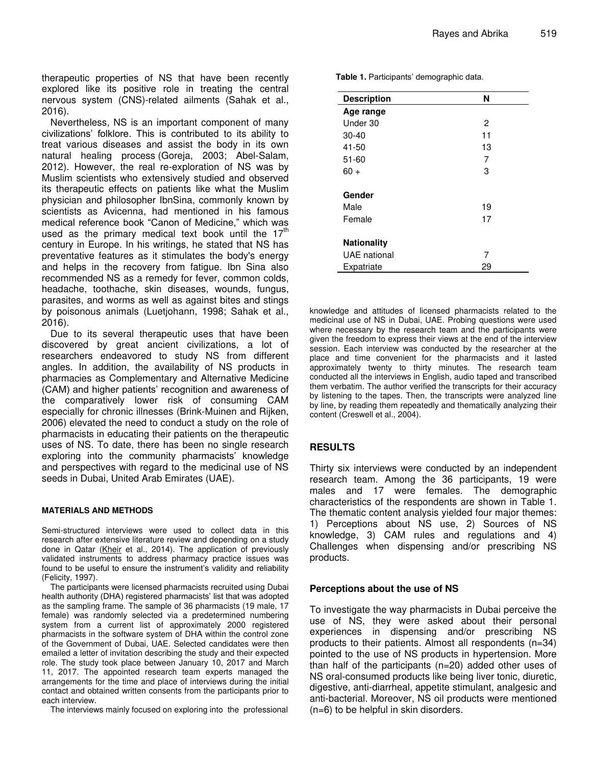therapeutic properties of NS that have been recently explored like its positive role in treating the central nervous system (CNS)-related ailments (Sahak et al., 2016).

Nevertheless, NS is an important component of many civilizations' folklore. This is contributed to its ability to treat various diseases and assist the body in its own natural healing process (Goreja, 2003; Abel-Salam, 2012). However, the real re-exploration of NS was by Muslim scientists who extensively studied and observed its therapeutic effects on patients like what the Muslim physician and philosopher IbnSina, commonly known by scientists as Avicenna, had mentioned in his famous medical reference book "Canon of Medicine," which was used as the primary medical text book until the  $17<sup>th</sup>$ century in Europe. In his writings, he stated that NS has preventative features as it stimulates the body's energy and helps in the recovery from fatigue. Ibn Sina also recommended NS as a remedy for fever, common colds, headache, toothache, skin diseases, wounds, fungus, parasites, and worms as well as against bites and stings by poisonous animals (Luetjohann, 1998; Sahak et al., 2016).

Due to its several therapeutic uses that have been discovered by great ancient civilizations, a lot of researchers endeavored to study NS from different angles. In addition, the availability of NS products in pharmacies as Complementary and Alternative Medicine (CAM) and higher patients' recognition and awareness of the comparatively lower risk of consuming CAM especially for chronic illnesses (Brink-Muinen and Rijken, 2006) elevated the need to conduct a study on the role of pharmacists in educating their patients on the therapeutic uses of NS. To date, there has been no single research exploring into the community pharmacists' knowledge and perspectives with regard to the medicinal use of NS seeds in Dubai, United Arab Emirates (UAE).

#### **MATERIALS AND METHODS**

Semi-structured interviews were used to collect data in this research after extensive literature review and depending on a study done in Qatar [\(Kheir](https://www.ncbi.nlm.nih.gov/pubmed/?term=Kheir%20N%5BAuthor%5D&cauthor=true&cauthor_uid=24501547) et al., 2014). The application of previously validated instruments to address pharmacy practice issues was found to be useful to ensure the instrument's validity and reliability (Felicity, 1997).

The participants were licensed pharmacists recruited using Dubai health authority (DHA) registered pharmacists' list that was adopted as the sampling frame. The sample of 36 pharmacists (19 male, 17 female) was randomly selected via a predetermined numbering system from a current list of approximately 2000 registered pharmacists in the software system of DHA within the control zone of the Government of Dubai, UAE. Selected candidates were then emailed a letter of invitation describing the study and their expected role. The study took place between January 10, 2017 and March 11, 2017. The appointed research team experts managed the arrangements for the time and place of interviews during the initial contact and obtained written consents from the participants prior to each interview.

The interviews mainly focused on exploring into the professional

**Table 1.** Participants' demographic data.

| <b>Description</b>  | N  |
|---------------------|----|
| Age range           |    |
| Under 30            | 2  |
| $30 - 40$           | 11 |
| 41-50               | 13 |
| $51 - 60$           | 7  |
| $60 +$              | 3  |
| Gender              |    |
| Male                | 19 |
| Female              | 17 |
| <b>Nationality</b>  |    |
| <b>UAE</b> national | 7  |
| Expatriate          | 29 |

knowledge and attitudes of licensed pharmacists related to the medicinal use of NS in Dubai, UAE. Probing questions were used where necessary by the research team and the participants were given the freedom to express their views at the end of the interview session. Each interview was conducted by the researcher at the place and time convenient for the pharmacists and it lasted approximately twenty to thirty minutes. The research team conducted all the interviews in English, audio taped and transcribed them verbatim. The author verified the transcripts for their accuracy by listening to the tapes. Then, the transcripts were analyzed line by line, by reading them repeatedly and thematically analyzing their content (Creswell et al., 2004).

## **RESULTS**

Thirty six interviews were conducted by an independent research team. Among the 36 participants, 19 were males and 17 were females. The demographic characteristics of the respondents are shown in Table 1. The thematic content analysis yielded four major themes: 1) Perceptions about NS use, 2) Sources of NS knowledge, 3) CAM rules and regulations and 4) Challenges when dispensing and/or prescribing NS products.

## **Perceptions about the use of NS**

To investigate the way pharmacists in Dubai perceive the use of NS, they were asked about their personal experiences in dispensing and/or prescribing NS products to their patients. Almost all respondents (n=34) pointed to the use of NS products in hypertension. More than half of the participants (n=20) added other uses of NS oral-consumed products like being liver tonic, diuretic, digestive, anti-diarrheal, appetite stimulant, analgesic and anti-bacterial. Moreover, NS oil products were mentioned (n=6) to be helpful in skin disorders.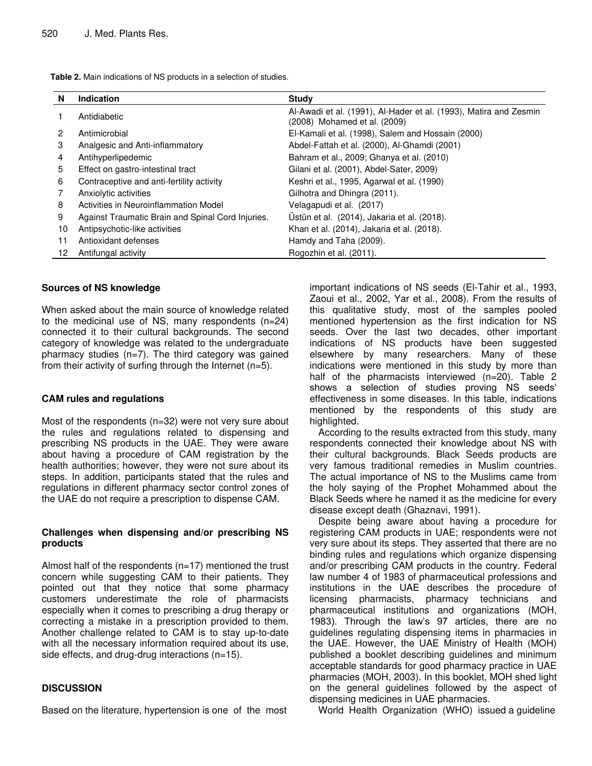| N              | <b>Indication</b>                                 | <b>Study</b>                                                                                      |
|----------------|---------------------------------------------------|---------------------------------------------------------------------------------------------------|
| $\mathbf{1}$   | Antidiabetic                                      | Al-Awadi et al. (1991), Al-Hader et al. (1993), Matira and Zesmin<br>(2008) Mohamed et al. (2009) |
| $\overline{2}$ | Antimicrobial                                     | El-Kamali et al. (1998), Salem and Hossain (2000)                                                 |
| 3              | Analgesic and Anti-inflammatory                   | Abdel-Fattah et al. (2000), Al-Ghamdi (2001)                                                      |
| 4              | Antihyperlipedemic                                | Bahram et al., 2009; Ghanya et al. (2010)                                                         |
| 5              | Effect on gastro-intestinal tract                 | Gilani et al. (2001), Abdel-Sater, 2009)                                                          |
| 6              | Contraceptive and anti-fertility activity         | Keshri et al., 1995, Agarwal et al. (1990)                                                        |
| 7              | Anxiolytic activities                             | Gilhotra and Dhingra (2011).                                                                      |
| 8              | Activities in Neuroinflammation Model             | Velagapudi et al. (2017)                                                                          |
| 9              | Against Traumatic Brain and Spinal Cord Injuries. | Üstün et al. (2014), Jakaria et al. (2018).                                                       |
| 10             | Antipsychotic-like activities                     | Khan et al. (2014), Jakaria et al. (2018).                                                        |
| 11             | Antioxidant defenses                              | Hamdy and Taha (2009).                                                                            |
| 12             | Antifungal activity                               | Rogozhin et al. (2011).                                                                           |

**Table 2.** Main indications of NS products in a selection of studies.

#### **Sources of NS knowledge**

When asked about the main source of knowledge related to the medicinal use of NS, many respondents (n=24) connected it to their cultural backgrounds. The second category of knowledge was related to the undergraduate pharmacy studies  $(n=7)$ . The third category was gained from their activity of surfing through the Internet (n=5).

## **CAM rules and regulations**

Most of the respondents (n=32) were not very sure about the rules and regulations related to dispensing and prescribing NS products in the UAE. They were aware about having a procedure of CAM registration by the health authorities; however, they were not sure about its steps. In addition, participants stated that the rules and regulations in different pharmacy sector control zones of the UAE do not require a prescription to dispense CAM.

#### **Challenges when dispensing and/or prescribing NS products**

Almost half of the respondents (n=17) mentioned the trust concern while suggesting CAM to their patients. They pointed out that they notice that some pharmacy customers underestimate the role of pharmacists especially when it comes to prescribing a drug therapy or correcting a mistake in a prescription provided to them. Another challenge related to CAM is to stay up-to-date with all the necessary information required about its use, side effects, and drug-drug interactions (n=15).

## **DISCUSSION**

Based on the literature, hypertension is one of the most

important indications of NS seeds (El-Tahir et al., 1993, Zaoui et al., 2002, Yar et al., 2008). From the results of this qualitative study, most of the samples pooled mentioned hypertension as the first indication for NS seeds. Over the last two decades, other important indications of NS products have been suggested elsewhere by many researchers. Many of these indications were mentioned in this study by more than half of the pharmacists interviewed (n=20). Table 2 shows a selection of studies proving NS seeds' effectiveness in some diseases. In this table, indications mentioned by the respondents of this study are highlighted.

According to the results extracted from this study, many respondents connected their knowledge about NS with their cultural backgrounds. Black Seeds products are very famous traditional remedies in Muslim countries. The actual importance of NS to the Muslims came from the holy saying of the Prophet Mohammed about the Black Seeds where he named it as the medicine for every disease except death (Ghaznavi, 1991).

Despite being aware about having a procedure for registering CAM products in UAE; respondents were not very sure about its steps. They asserted that there are no binding rules and regulations which organize dispensing and/or prescribing CAM products in the country. Federal law number 4 of 1983 of pharmaceutical professions and institutions in the UAE describes the procedure of licensing pharmacists, pharmacy technicians and pharmaceutical institutions and organizations (MOH, 1983). Through the law's 97 articles, there are no guidelines regulating dispensing items in pharmacies in the UAE. However, the UAE Ministry of Health (MOH) published a booklet describing guidelines and minimum acceptable standards for good pharmacy practice in UAE pharmacies (MOH, 2003). In this booklet, MOH shed light on the general guidelines followed by the aspect of dispensing medicines in UAE pharmacies.

World Health Organization (WHO) issued a guideline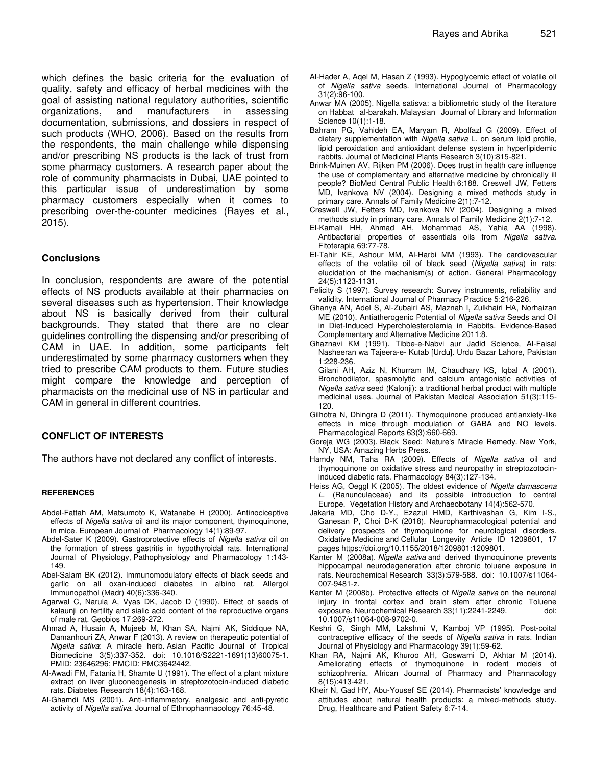which defines the basic criteria for the evaluation of quality, safety and efficacy of herbal medicines with the goal of assisting national regulatory authorities, scientific organizations, and manufacturers in assessing documentation, submissions, and dossiers in respect of such products (WHO, 2006). Based on the results from the respondents, the main challenge while dispensing and/or prescribing NS products is the lack of trust from some pharmacy customers. A research paper about the role of community pharmacists in Dubai, UAE pointed to this particular issue of underestimation by some pharmacy customers especially when it comes to prescribing over-the-counter medicines (Rayes et al., 2015).

#### **Conclusions**

In conclusion, respondents are aware of the potential effects of NS products available at their pharmacies on several diseases such as hypertension. Their knowledge about NS is basically derived from their cultural backgrounds. They stated that there are no clear guidelines controlling the dispensing and/or prescribing of CAM in UAE. In addition, some participants felt underestimated by some pharmacy customers when they tried to prescribe CAM products to them. Future studies might compare the knowledge and perception of pharmacists on the medicinal use of NS in particular and CAM in general in different countries.

## **CONFLICT OF INTERESTS**

The authors have not declared any conflict of interests.

#### **REFERENCES**

- Abdel-Fattah AM, Matsumoto K, Watanabe H (2000). Antinociceptive effects of *Nigella sativa* oil and its major component, thymoquinone, in mice. European Journal of Pharmacology 14(1):89-97.
- Abdel-Sater K (2009). Gastroprotective effects of *Nigella sativa* oil on the formation of stress gastritis in hypothyroidal rats. International Journal of Physiology, Pathophysiology and Pharmacology 1:143- 149.
- Abel-Salam BK (2012). Immunomodulatory effects of black seeds and garlic on all oxan-induced diabetes in albino rat. Allergol Immunopathol (Madr) 40(6):336-340.
- Agarwal C, Narula A, Vyas DK, Jacob D (1990). Effect of seeds of kalaunji on fertility and sialic acid content of the reproductive organs of male rat. Geobios 17:269-272.
- Ahmad A, Husain A, Mujeeb M, Khan SA, Najmi AK, Siddique NA, Damanhouri ZA, Anwar F (2013). A review on therapeutic potential of *Nigella sativa*: A miracle herb. Asian Pacific Journal of Tropical Biomedicine 3(5):337-352. doi: 10.1016/S2221-1691(13)60075-1. PMID: 23646296; PMCID: PMC3642442.
- Al-Awadi FM, Fatania H, Shamte U (1991). The effect of a plant mixture extract on liver gluconeogenesis in streptozotocin-induced diabetic rats. Diabetes Research 18(4):163-168.
- Al-Ghamdi MS (2001). Anti-inflammatory, analgesic and anti-pyretic activity of *Nigella sativa*. Journal of Ethnopharmacology 76:45-48.
- Al-Hader A, Aqel M, Hasan Z (1993). Hypoglycemic effect of volatile oil of *Nigella sativa* seeds. International Journal of Pharmacology 31(2):96-100.
- Anwar MA (2005). Nigella satisva: a bibliometric study of the literature on Habbat al-barakah. Malaysian Journal of Library and Information Science 10(1):1-18.
- Bahram PG, Vahideh EA, Maryam R, Abolfazl G (2009). Effect of dietary supplementation with *Nigella sativa* L. on serum lipid profile, lipid peroxidation and antioxidant defense system in hyperlipidemic rabbits. Journal of Medicinal Plants Research 3(10):815-821.
- Brink-Muinen AV, Rijken PM (2006). Does trust in health care influence the use of complementary and alternative medicine by chronically ill people? BioMed Central Public Health 6:188. Creswell JW, Fetters MD, Ivankova NV (2004). Designing a mixed methods study in primary care. Annals of Family Medicine 2(1):7-12.
- Creswell JW, Fetters MD, Ivankova NV (2004). Designing a mixed methods study in primary care. Annals of Family Medicine 2(1):7-12.
- El-Kamali HH, Ahmad AH, Mohammad AS, Yahia AA (1998). Antibacterial properties of essentials oils from *Nigella sativa*. Fitoterapia 69:77-78.
- El-Tahir KE, Ashour MM, Al-Harbi MM (1993). The cardiovascular effects of the volatile oil of black seed (*Nigella sativa*) in rats: elucidation of the mechanism(s) of action. General Pharmacology 24(5):1123-1131.
- Felicity S (1997). Survey research: Survey instruments, reliability and validity. International Journal of Pharmacy Practice 5:216-226.
- Ghanya AN, Adel S, Al-Zubairi AS, Maznah I, Zulkhairi HA, Norhaizan ME (2010). Antiatherogenic Potential of *Nigella sativa* Seeds and Oil in Diet-Induced Hypercholesterolemia in Rabbits. Evidence-Based Complementary and Alternative Medicine 2011:8.
- Ghaznavi KM (1991). Tibbe-e-Nabvi aur Jadid Science, Al-Faisal Nasheeran wa Tajeera-e- Kutab [Urdu]. Urdu Bazar Lahore, Pakistan 1:228-236.
- Gilani AH, Aziz N, Khurram IM, Chaudhary KS, Iqbal A (2001). Bronchodilator, spasmolytic and calcium antagonistic activities of *Nigella sativa* seed (Kalonji): a traditional herbal product with multiple medicinal uses. Journal of Pakistan Medical Association 51(3):115- 120.
- Gilhotra N, Dhingra D (2011). Thymoquinone produced antianxiety-like effects in mice through modulation of GABA and NO levels. Pharmacological Reports 63(3):660-669.
- Goreja WG (2003). Black Seed: Nature's Miracle Remedy. New York, NY, USA: Amazing Herbs Press.
- Hamdy NM, Taha RA (2009). Effects of *Nigella sativa* oil and thymoquinone on oxidative stress and neuropathy in streptozotocininduced diabetic rats. Pharmacology 84(3):127-134.
- Heiss AG, Oeggl K (2005). The oldest evidence of *Nigella damascena L*. (Ranunculaceae) and its possible introduction to central Europe. Vegetation History and Archaeobotany 14(4):562-570.
- Jakaria MD, Cho D-Y., Ezazul HMD, Karthivashan G, Kim I-S., Ganesan P, Choi D-K (2018). Neuropharmacological potential and delivery prospects of thymoquinone for neurological disorders. Oxidative Medicine and Cellular Longevity Article ID 1209801, 17 pages https://doi.org/10.1155/2018/1209801:1209801.
- Kanter M (2008a). *Nigella sativa* and derived thymoquinone prevents hippocampal neurodegeneration after chronic toluene exposure in rats. Neurochemical Research 33(3):579-588. doi: 10.1007/s11064- 007-9481-z.
- Kanter M (2008b). Protective effects of *Nigella sativa* on the neuronal injury in frontal cortex and brain stem after chronic Toluene exposure. Neurochemical Research 33(11):2241-2249. doi: 10.1007/s11064-008-9702-0.
- Keshri G, Singh MM, Lakshmi V, Kamboj VP (1995). Post-coital contraceptive efficacy of the seeds of *Nigella sativa* in rats. Indian Journal of Physiology and Pharmacology 39(1):59-62.
- Khan RA, Najmi AK, Khuroo AH, Goswami D, Akhtar M (2014). Ameliorating effects of thymoquinone in rodent models of schizophrenia. African Journal of Pharmacy and Pharmacology 8(15):413-421.
- [Kheir](https://www.ncbi.nlm.nih.gov/pubmed/?term=Kheir%20N%5BAuthor%5D&cauthor=true&cauthor_uid=24501547) N, [Gad](https://www.ncbi.nlm.nih.gov/pubmed/?term=Gad%20HY%5BAuthor%5D&cauthor=true&cauthor_uid=24501547) HY, [Abu-Yousef](https://www.ncbi.nlm.nih.gov/pubmed/?term=Abu-Yousef%20SE%5BAuthor%5D&cauthor=true&cauthor_uid=24501547) SE (2014). Pharmacists' knowledge and attitudes about natural health products: a mixed-methods study. Drug, Healthcare and Patient Safety 6:7-14.